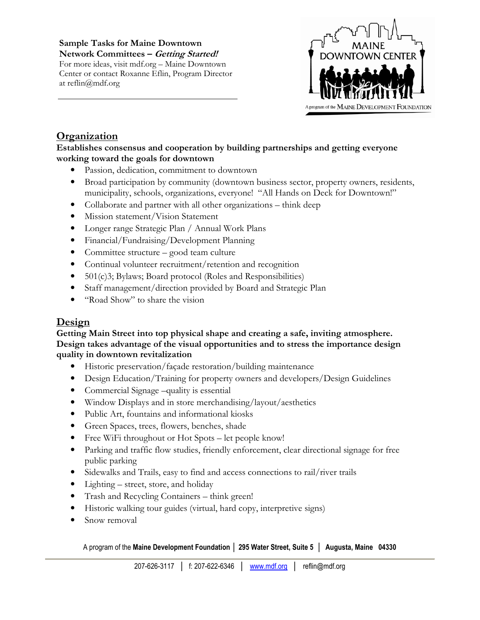Sample Tasks for Maine Downtown Network Committees – Getting Started! For more ideas, visit mdf.org – Maine Downtown Center or contact Roxanne Eflin, Program Director at reflin@mdf.org



# **Organization**

### Establishes consensus and cooperation by building partnerships and getting everyone working toward the goals for downtown

- Passion, dedication, commitment to downtown
- Broad participation by community (downtown business sector, property owners, residents, municipality, schools, organizations, everyone! "All Hands on Deck for Downtown!"
- Collaborate and partner with all other organizations think deep
- Mission statement/Vision Statement
- Longer range Strategic Plan / Annual Work Plans
- Financial/Fundraising/Development Planning
- Committee structure good team culture
- Continual volunteer recruitment/retention and recognition
- 501(c)3; Bylaws; Board protocol (Roles and Responsibilities)
- Staff management/direction provided by Board and Strategic Plan
- "Road Show" to share the vision

# Design

#### Getting Main Street into top physical shape and creating a safe, inviting atmosphere. Design takes advantage of the visual opportunities and to stress the importance design quality in downtown revitalization

- Historic preservation/façade restoration/building maintenance
- Design Education/Training for property owners and developers/Design Guidelines
- Commercial Signage –quality is essential
- Window Displays and in store merchandising/layout/aesthetics
- Public Art, fountains and informational kiosks
- Green Spaces, trees, flowers, benches, shade
- Free WiFi throughout or Hot Spots let people know!
- Parking and traffic flow studies, friendly enforcement, clear directional signage for free public parking
- Sidewalks and Trails, easy to find and access connections to rail/river trails
- Lighting street, store, and holiday
- Trash and Recycling Containers think green!
- Historic walking tour guides (virtual, hard copy, interpretive signs)
- Snow removal

A program of the Maine Development Foundation │ 295 Water Street, Suite 5 │ Augusta, Maine 04330